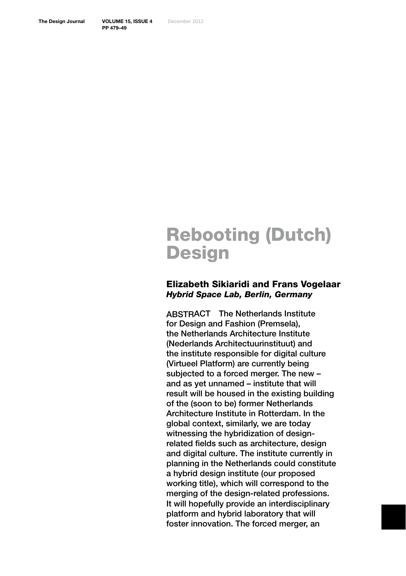# Rebooting (Dutch) **Design**

# Elizabeth Sikiaridi and Frans Vogelaar *Hybrid Space Lab, Berlin, Germany*

ABSTRACT The Netherlands Institute for Design and Fashion (Premsela), the Netherlands Architecture Institute (Nederlands Architectuurinstituut) and the institute responsible for digital culture (Virtueel Platform) are currently being subjected to a forced merger. The new – and as yet unnamed – institute that will result will be housed in the existing building of the (soon to be) former Netherlands Architecture Institute in Rotterdam. In the global context, similarly, we are today witnessing the hybridization of designrelated fields such as architecture, design and digital culture. The institute currently in planning in the Netherlands could constitute a hybrid design institute (our proposed working title), which will correspond to the merging of the design-related professions. It will hopefully provide an interdisciplinary platform and hybrid laboratory that will foster innovation. The forced merger, an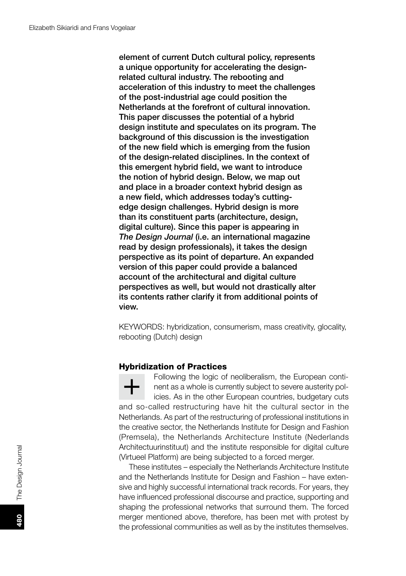element of current Dutch cultural policy, represents a unique opportunity for accelerating the designrelated cultural industry. The rebooting and acceleration of this industry to meet the challenges of the post-industrial age could position the Netherlands at the forefront of cultural innovation. This paper discusses the potential of a hybrid design institute and speculates on its program. The background of this discussion is the investigation of the new field which is emerging from the fusion of the design-related disciplines. In the context of this emergent hybrid field, we want to introduce the notion of hybrid design. Below, we map out and place in a broader context hybrid design as a new field, which addresses today's cuttingedge design challenges. Hybrid design is more than its constituent parts (architecture, design, digital culture). Since this paper is appearing in *The Design Journal* (i.e. an international magazine read by design professionals), it takes the design perspective as its point of departure. An expanded version of this paper could provide a balanced account of the architectural and digital culture perspectives as well, but would not drastically alter its contents rather clarify it from additional points of view.

KEYWORDS: hybridization, consumerism, mass creativity, glocality, rebooting (Dutch) design

# Hybridization of Practices

 $+$ Following the logic of neoliberalism, the European continent as a whole is currently subject to severe austerity policies. As in the other European countries, budgetary cuts and so-called restructuring have hit the cultural sector in the Netherlands. As part of the restructuring of professional institutions in the creative sector, the Netherlands Institute for Design and Fashion (Premsela), the Netherlands Architecture Institute (Nederlands Architectuurinstituut) and the institute responsible for digital culture (Virtueel Platform) are being subjected to a forced merger.

These institutes – especially the Netherlands Architecture Institute and the Netherlands Institute for Design and Fashion – have extensive and highly successful international track records. For years, they have influenced professional discourse and practice, supporting and shaping the professional networks that surround them. The forced merger mentioned above, therefore, has been met with protest by the professional communities as well as by the institutes themselves.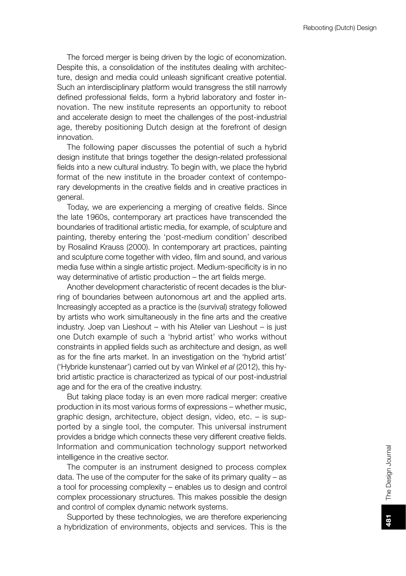The forced merger is being driven by the logic of economization. Despite this, a consolidation of the institutes dealing with architecture, design and media could unleash significant creative potential. Such an interdisciplinary platform would transgress the still narrowly defined professional fields, form a hybrid laboratory and foster innovation. The new institute represents an opportunity to reboot and accelerate design to meet the challenges of the post-industrial age, thereby positioning Dutch design at the forefront of design innovation.

The following paper discusses the potential of such a hybrid design institute that brings together the design-related professional fields into a new cultural industry. To begin with, we place the hybrid format of the new institute in the broader context of contemporary developments in the creative fields and in creative practices in general.

Today, we are experiencing a merging of creative fields. Since the late 1960s, contemporary art practices have transcended the boundaries of traditional artistic media, for example, of sculpture and painting, thereby entering the 'post-medium condition' described by Rosalind Krauss (2000). In contemporary art practices, painting and sculpture come together with video, film and sound, and various media fuse within a single artistic project. Medium-specificity is in no way determinative of artistic production – the art fields merge.

Another development characteristic of recent decades is the blurring of boundaries between autonomous art and the applied arts. Increasingly accepted as a practice is the (survival) strategy followed by artists who work simultaneously in the fine arts and the creative industry. Joep van Lieshout – with his Atelier van Lieshout – is just one Dutch example of such a 'hybrid artist' who works without constraints in applied fields such as architecture and design, as well as for the fine arts market. In an investigation on the 'hybrid artist' ('Hybride kunstenaar') carried out by van Winkel *et al* (2012), this hybrid artistic practice is characterized as typical of our post-industrial age and for the era of the creative industry.

But taking place today is an even more radical merger: creative production in its most various forms of expressions – whether music, graphic design, architecture, object design, video, etc. – is supported by a single tool, the computer. This universal instrument provides a bridge which connects these very different creative fields. Information and communication technology support networked intelligence in the creative sector.

The computer is an instrument designed to process complex data. The use of the computer for the sake of its primary quality – as a tool for processing complexity – enables us to design and control complex processionary structures. This makes possible the design and control of complex dynamic network systems.

Supported by these technologies, we are therefore experiencing a hybridization of environments, objects and services. This is the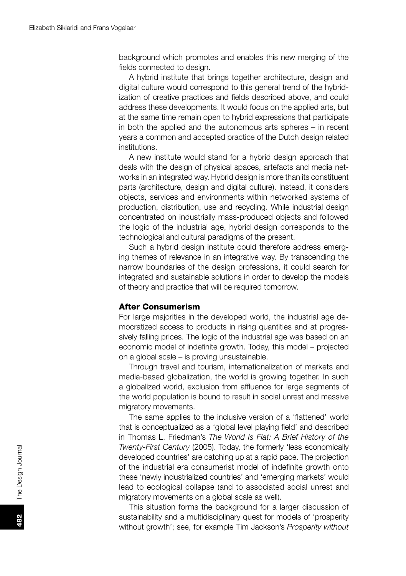background which promotes and enables this new merging of the fields connected to design.

A hybrid institute that brings together architecture, design and digital culture would correspond to this general trend of the hybridization of creative practices and fields described above, and could address these developments. It would focus on the applied arts, but at the same time remain open to hybrid expressions that participate in both the applied and the autonomous arts spheres – in recent years a common and accepted practice of the Dutch design related institutions.

A new institute would stand for a hybrid design approach that deals with the design of physical spaces, artefacts and media networks in an integrated way. Hybrid design is more than its constituent parts (architecture, design and digital culture). Instead, it considers objects, services and environments within networked systems of production, distribution, use and recycling. While industrial design concentrated on industrially mass-produced objects and followed the logic of the industrial age, hybrid design corresponds to the technological and cultural paradigms of the present.

Such a hybrid design institute could therefore address emerging themes of relevance in an integrative way. By transcending the narrow boundaries of the design professions, it could search for integrated and sustainable solutions in order to develop the models of theory and practice that will be required tomorrow.

#### After Consumerism

For large majorities in the developed world, the industrial age democratized access to products in rising quantities and at progressively falling prices. The logic of the industrial age was based on an economic model of indefinite growth. Today, this model – projected on a global scale – is proving unsustainable.

Through travel and tourism, internationalization of markets and media-based globalization, the world is growing together. In such a globalized world, exclusion from affluence for large segments of the world population is bound to result in social unrest and massive migratory movements.

The same applies to the inclusive version of a 'flattened' world that is conceptualized as a 'global level playing field' and described in Thomas L. Friedman's *The World Is Flat: A Brief History of the Twenty-First Century* (2005). Today, the formerly 'less economically developed countries' are catching up at a rapid pace. The projection of the industrial era consumerist model of indefinite growth onto these 'newly industrialized countries' and 'emerging markets' would lead to ecological collapse (and to associated social unrest and migratory movements on a global scale as well).

This situation forms the background for a larger discussion of sustainability and a multidisciplinary quest for models of 'prosperity without growth'; see, for example Tim Jackson's *Prosperity without*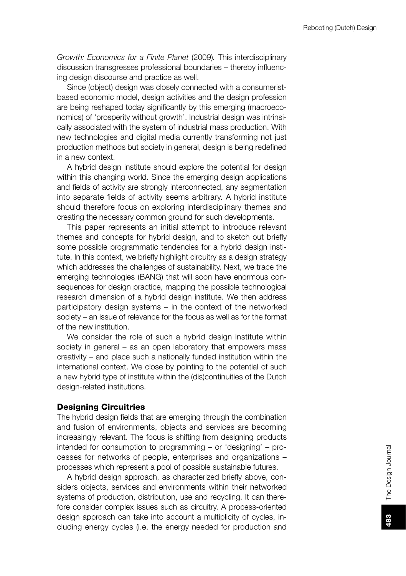*Growth: Economics for a Finite Planet* (2009)*.* This interdisciplinary discussion transgresses professional boundaries – thereby influencing design discourse and practice as well.

Since (object) design was closely connected with a consumeristbased economic model, design activities and the design profession are being reshaped today significantly by this emerging (macroeconomics) of 'prosperity without growth'. Industrial design was intrinsically associated with the system of industrial mass production. With new technologies and digital media currently transforming not just production methods but society in general, design is being redefined in a new context.

A hybrid design institute should explore the potential for design within this changing world. Since the emerging design applications and fields of activity are strongly interconnected, any segmentation into separate fields of activity seems arbitrary. A hybrid institute should therefore focus on exploring interdisciplinary themes and creating the necessary common ground for such developments.

This paper represents an initial attempt to introduce relevant themes and concepts for hybrid design, and to sketch out briefly some possible programmatic tendencies for a hybrid design institute. In this context, we briefly highlight circuitry as a design strategy which addresses the challenges of sustainability. Next, we trace the emerging technologies (BANG) that will soon have enormous consequences for design practice, mapping the possible technological research dimension of a hybrid design institute. We then address participatory design systems – in the context of the networked society – an issue of relevance for the focus as well as for the format of the new institution.

We consider the role of such a hybrid design institute within society in general – as an open laboratory that empowers mass creativity – and place such a nationally funded institution within the international context. We close by pointing to the potential of such a new hybrid type of institute within the (dis)continuities of the Dutch design-related institutions.

# Designing Circuitries

The hybrid design fields that are emerging through the combination and fusion of environments, objects and services are becoming increasingly relevant. The focus is shifting from designing products intended for consumption to programming – or 'designing' – processes for networks of people, enterprises and organizations – processes which represent a pool of possible sustainable futures.

A hybrid design approach, as characterized briefly above, considers objects, services and environments within their networked systems of production, distribution, use and recycling. It can therefore consider complex issues such as circuitry. A process-oriented design approach can take into account a multiplicity of cycles, including energy cycles (i.e. the energy needed for production and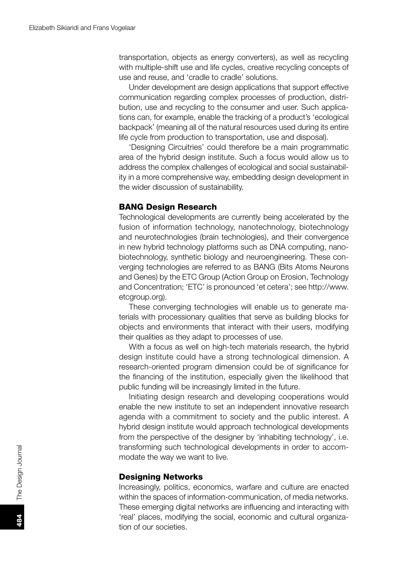transportation, objects as energy converters), as well as recycling with multiple-shift use and life cycles, creative recycling concepts of use and reuse, and 'cradle to cradle' solutions.

Under development are design applications that support effective communication regarding complex processes of production, distribution, use and recycling to the consumer and user. Such applications can, for example, enable the tracking of a product's 'ecological backpack' (meaning all of the natural resources used during its entire life cycle from production to transportation, use and disposal).

'Designing Circuitries' could therefore be a main programmatic area of the hybrid design institute. Such a focus would allow us to address the complex challenges of ecological and social sustainability in a more comprehensive way, embedding design development in the wider discussion of sustainability.

## BANG Design Research

Technological developments are currently being accelerated by the fusion of information technology, nanotechnology, biotechnology and neurotechnologies (brain technologies), and their convergence in new hybrid technology platforms such as DNA computing, nanobiotechnology, synthetic biology and neuroengineering. These converging technologies are referred to as BANG (Bits Atoms Neurons and Genes) by the ETC Group (Action Group on Erosion, Technology and Concentration; 'ETC' is pronounced 'et cetera'; see http://www. etcgroup.org).

These converging technologies will enable us to generate materials with processionary qualities that serve as building blocks for objects and environments that interact with their users, modifying their qualities as they adapt to processes of use.

With a focus as well on high-tech materials research, the hybrid design institute could have a strong technological dimension. A research-oriented program dimension could be of significance for the financing of the institution, especially given the likelihood that public funding will be increasingly limited in the future.

Initiating design research and developing cooperations would enable the new institute to set an independent innovative research agenda with a commitment to society and the public interest. A hybrid design institute would approach technological developments from the perspective of the designer by 'inhabiting technology', i.e. transforming such technological developments in order to accommodate the way we want to live.

# Designing Networks

Increasingly, politics, economics, warfare and culture are enacted within the spaces of information-communication, of media networks. These emerging digital networks are influencing and interacting with 'real' places, modifying the social, economic and cultural organization of our societies.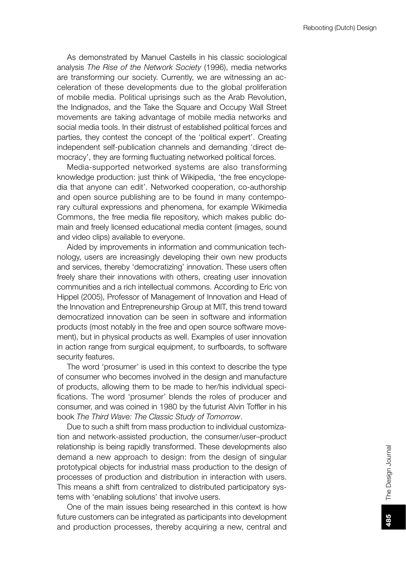As demonstrated by Manuel Castells in his classic sociological analysis *The Rise of the Network Society* (1996), media networks are transforming our society. Currently, we are witnessing an acceleration of these developments due to the global proliferation of mobile media. Political uprisings such as the Arab Revolution, the Indignados, and the Take the Square and Occupy Wall Street movements are taking advantage of mobile media networks and social media tools. In their distrust of established political forces and parties, they contest the concept of the 'political expert'. Creating independent self-publication channels and demanding 'direct democracy', they are forming fluctuating networked political forces.

Media-supported networked systems are also transforming knowledge production: just think of Wikipedia, 'the free encyclopedia that anyone can edit'. Networked cooperation, co-authorship and open source publishing are to be found in many contemporary cultural expressions and phenomena, for example Wikimedia Commons, the free media file repository, which makes public domain and freely licensed educational media content (images, sound and video clips) available to everyone.

Aided by improvements in information and communication technology, users are increasingly developing their own new products and services, thereby 'democratizing' innovation. These users often freely share their innovations with others, creating user innovation communities and a rich intellectual commons. According to Eric von Hippel (2005), Professor of Management of Innovation and Head of the Innovation and Entrepreneurship Group at MIT, this trend toward democratized innovation can be seen in software and information products (most notably in the free and open source software movement), but in physical products as well. Examples of user innovation in action range from surgical equipment, to surfboards, to software security features.

The word 'prosumer' is used in this context to describe the type of consumer who becomes involved in the design and manufacture of products, allowing them to be made to her/his individual specifications. The word 'prosumer' blends the roles of producer and consumer, and was coined in 1980 by the futurist Alvin Toffler in his book *The Third Wave: The Classic Study of Tomorrow*.

Due to such a shift from mass production to individual customization and network-assisted production, the consumer/user–product relationship is being rapidly transformed. These developments also demand a new approach to design: from the design of singular prototypical objects for industrial mass production to the design of processes of production and distribution in interaction with users. This means a shift from centralized to distributed participatory systems with 'enabling solutions' that involve users.

One of the main issues being researched in this context is how future customers can be integrated as participants into development and production processes, thereby acquiring a new, central and

485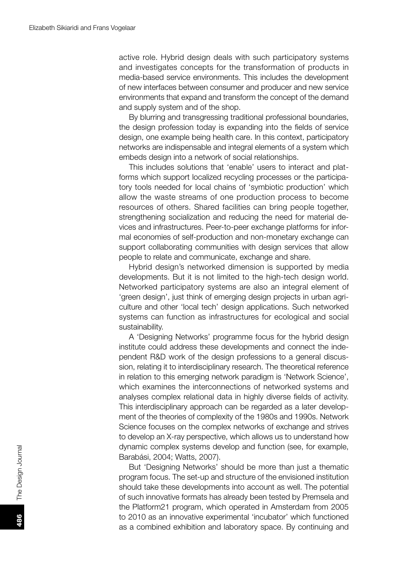active role. Hybrid design deals with such participatory systems and investigates concepts for the transformation of products in media-based service environments. This includes the development of new interfaces between consumer and producer and new service environments that expand and transform the concept of the demand and supply system and of the shop.

By blurring and transgressing traditional professional boundaries, the design profession today is expanding into the fields of service design, one example being health care. In this context, participatory networks are indispensable and integral elements of a system which embeds design into a network of social relationships.

This includes solutions that 'enable' users to interact and platforms which support localized recycling processes or the participatory tools needed for local chains of 'symbiotic production' which allow the waste streams of one production process to become resources of others. Shared facilities can bring people together, strengthening socialization and reducing the need for material devices and infrastructures. Peer-to-peer exchange platforms for informal economies of self-production and non-monetary exchange can support collaborating communities with design services that allow people to relate and communicate, exchange and share.

Hybrid design's networked dimension is supported by media developments. But it is not limited to the high-tech design world. Networked participatory systems are also an integral element of 'green design', just think of emerging design projects in urban agriculture and other 'local tech' design applications. Such networked systems can function as infrastructures for ecological and social sustainability.

A 'Designing Networks' programme focus for the hybrid design institute could address these developments and connect the independent R&D work of the design professions to a general discussion, relating it to interdisciplinary research. The theoretical reference in relation to this emerging network paradigm is 'Network Science', which examines the interconnections of networked systems and analyses complex relational data in highly diverse fields of activity. This interdisciplinary approach can be regarded as a later development of the theories of complexity of the 1980s and 1990s. Network Science focuses on the complex networks of exchange and strives to develop an X-ray perspective, which allows us to understand how dynamic complex systems develop and function (see, for example, Barabási, 2004; Watts, 2007).

But 'Designing Networks' should be more than just a thematic program focus. The set-up and structure of the envisioned institution should take these developments into account as well. The potential of such innovative formats has already been tested by Premsela and the Platform21 program, which operated in Amsterdam from 2005 to 2010 as an innovative experimental 'incubator' which functioned as a combined exhibition and laboratory space. By continuing and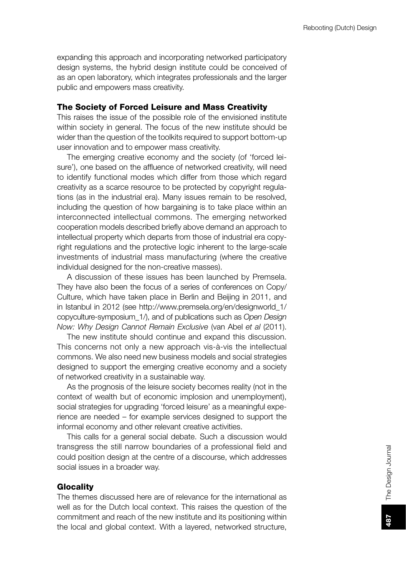expanding this approach and incorporating networked participatory design systems, the hybrid design institute could be conceived of as an open laboratory, which integrates professionals and the larger public and empowers mass creativity.

### The Society of Forced Leisure and Mass Creativity

This raises the issue of the possible role of the envisioned institute within society in general. The focus of the new institute should be wider than the question of the toolkits required to support bottom-up user innovation and to empower mass creativity.

The emerging creative economy and the society (of 'forced leisure'), one based on the affluence of networked creativity, will need to identify functional modes which differ from those which regard creativity as a scarce resource to be protected by copyright regulations (as in the industrial era). Many issues remain to be resolved, including the question of how bargaining is to take place within an interconnected intellectual commons. The emerging networked cooperation models described briefly above demand an approach to intellectual property which departs from those of industrial era copyright regulations and the protective logic inherent to the large-scale investments of industrial mass manufacturing (where the creative individual designed for the non-creative masses).

A discussion of these issues has been launched by Premsela. They have also been the focus of a series of conferences on Copy/ Culture, which have taken place in Berlin and Beijing in 2011, and in Istanbul in 2012 (see http://www.premsela.org/en/designworld\_1/ copyculture-symposium\_1/), and of publications such as *Open Design Now: Why Design Cannot Remain Exclusive* (van Abel *et al* (2011).

The new institute should continue and expand this discussion. This concerns not only a new approach vis-à-vis the intellectual commons. We also need new business models and social strategies designed to support the emerging creative economy and a society of networked creativity in a sustainable way.

As the prognosis of the leisure society becomes reality (not in the context of wealth but of economic implosion and unemployment), social strategies for upgrading 'forced leisure' as a meaningful experience are needed – for example services designed to support the informal economy and other relevant creative activities.

This calls for a general social debate. Such a discussion would transgress the still narrow boundaries of a professional field and could position design at the centre of a discourse, which addresses social issues in a broader way.

#### **Glocality**

The themes discussed here are of relevance for the international as well as for the Dutch local context. This raises the question of the commitment and reach of the new institute and its positioning within the local and global context. With a layered, networked structure,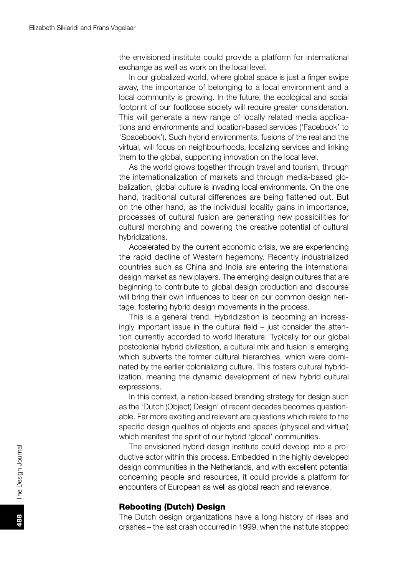the envisioned institute could provide a platform for international exchange as well as work on the local level.

In our globalized world, where global space is just a finger swipe away, the importance of belonging to a local environment and a local community is growing. In the future, the ecological and social footprint of our footloose society will require greater consideration. This will generate a new range of locally related media applications and environments and location-based services ('Facebook' to 'Spacebook'). Such hybrid environments, fusions of the real and the virtual, will focus on neighbourhoods, localizing services and linking them to the global, supporting innovation on the local level.

As the world grows together through travel and tourism, through the internationalization of markets and through media-based globalization, global culture is invading local environments. On the one hand, traditional cultural differences are being flattened out. But on the other hand, as the individual locality gains in importance, processes of cultural fusion are generating new possibilities for cultural morphing and powering the creative potential of cultural hybridizations.

Accelerated by the current economic crisis, we are experiencing the rapid decline of Western hegemony. Recently industrialized countries such as China and India are entering the international design market as new players. The emerging design cultures that are beginning to contribute to global design production and discourse will bring their own influences to bear on our common design heritage, fostering hybrid design movements in the process.

This is a general trend. Hybridization is becoming an increasingly important issue in the cultural field – just consider the attention currently accorded to world literature. Typically for our global postcolonial hybrid civilization, a cultural mix and fusion is emerging which subverts the former cultural hierarchies, which were dominated by the earlier colonializing culture. This fosters cultural hybridization, meaning the dynamic development of new hybrid cultural expressions.

In this context, a nation-based branding strategy for design such as the 'Dutch (Object) Design' of recent decades becomes questionable. Far more exciting and relevant are questions which relate to the specific design qualities of objects and spaces (physical and virtual) which manifest the spirit of our hybrid 'glocal' communities.

The envisioned hybrid design institute could develop into a productive actor within this process. Embedded in the highly developed design communities in the Netherlands, and with excellent potential concerning people and resources, it could provide a platform for encounters of European as well as global reach and relevance.

## Rebooting (Dutch) Design

The Dutch design organizations have a long history of rises and crashes – the last crash occurred in 1999, when the institute stopped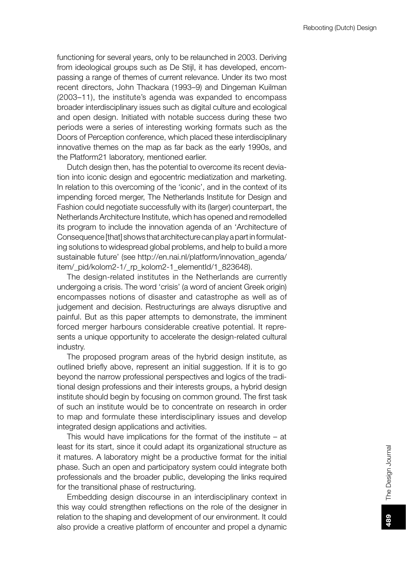functioning for several years, only to be relaunched in 2003. Deriving from ideological groups such as De Stijl, it has developed, encompassing a range of themes of current relevance. Under its two most recent directors, John Thackara (1993–9) and Dingeman Kuilman (2003–11), the institute's agenda was expanded to encompass broader interdisciplinary issues such as digital culture and ecological and open design. Initiated with notable success during these two periods were a series of interesting working formats such as the Doors of Perception conference, which placed these interdisciplinary innovative themes on the map as far back as the early 1990s, and the Platform21 laboratory, mentioned earlier.

Dutch design then, has the potential to overcome its recent deviation into iconic design and egocentric mediatization and marketing. In relation to this overcoming of the 'iconic', and in the context of its impending forced merger, The Netherlands Institute for Design and Fashion could negotiate successfully with its (larger) counterpart, the Netherlands Architecture Institute, which has opened and remodelled its program to include the innovation agenda of an 'Architecture of Consequence [that] shows that architecture can play a part in formulating solutions to widespread global problems, and help to build a more sustainable future' (see http://en.nai.nl/platform/innovation\_agenda/ item/\_pid/kolom2-1/\_rp\_kolom2-1\_elementId/1\_823648).

The design-related institutes in the Netherlands are currently undergoing a crisis. The word 'crisis' (a word of ancient Greek origin) encompasses notions of disaster and catastrophe as well as of judgement and decision. Restructurings are always disruptive and painful. But as this paper attempts to demonstrate, the imminent forced merger harbours considerable creative potential. It represents a unique opportunity to accelerate the design-related cultural industry.

The proposed program areas of the hybrid design institute, as outlined briefly above, represent an initial suggestion. If it is to go beyond the narrow professional perspectives and logics of the traditional design professions and their interests groups, a hybrid design institute should begin by focusing on common ground. The first task of such an institute would be to concentrate on research in order to map and formulate these interdisciplinary issues and develop integrated design applications and activities.

This would have implications for the format of the institute – at least for its start, since it could adapt its organizational structure as it matures. A laboratory might be a productive format for the initial phase. Such an open and participatory system could integrate both professionals and the broader public, developing the links required for the transitional phase of restructuring.

Embedding design discourse in an interdisciplinary context in this way could strengthen reflections on the role of the designer in relation to the shaping and development of our environment. It could also provide a creative platform of encounter and propel a dynamic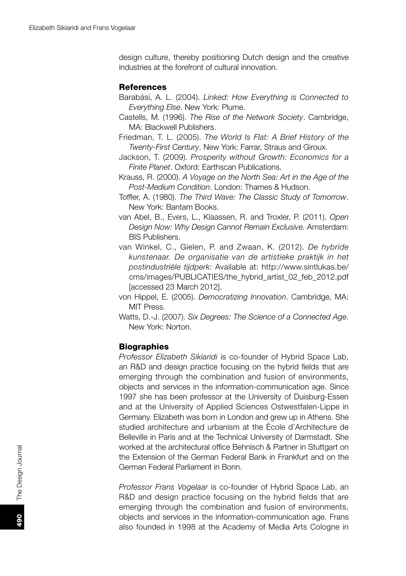design culture, thereby positioning Dutch design and the creative industries at the forefront of cultural innovation.

#### **References**

- Barabási, A. L. (2004). *Linked: How Everything is Connected to Everything Else*. New York: Plume.
- Castells, M. (1996). *The Rise of the Network Society*. Cambridge, MA: Blackwell Publishers.
- Friedman, T. L. (2005). *The World Is Flat: A Brief History of the Twenty-First Century*. New York: Farrar, Straus and Giroux.
- Jackson, T. (2009). *Prosperity without Growth: Economics for a Finite Planet*. Oxford: Earthscan Publications.
- Krauss, R. (2000). *A Voyage on the North Sea: Art in the Age of the Post-Medium Condition*. London: Thames & Hudson.
- Toffler, A. (1980). *The Third Wave: The Classic Study of Tomorrow*. New York: Bantam Books.
- van Abel, B., Evers, L., Klaassen, R. and Troxler, P. (2011). *Open Design Now: Why Design Cannot Remain Exclusive.* Amsterdam: BIS Publishers.
- van Winkel, C., Gielen, P. and Zwaan, K. (2012). *De hybride kunstenaar. De organisatie van de artistieke praktijk in het postindustriële tijdperk*: Available at: http://www.sintlukas.be/ cms/images/PUBLICATIES/the\_hybrid\_artist\_02\_feb\_2012.pdf [accessed 23 March 2012].
- von Hippel, E. (2005). *Democratizing Innovation*. Cambridge, MA: MIT Press.
- Watts, D.-J. (2007). *Six Degrees: The Science of a Connected Age*. New York: Norton.

# **Biographies**

*Professor Elizabeth Sikiaridi* is co-founder of Hybrid Space Lab, an R&D and design practice focusing on the hybrid fields that are emerging through the combination and fusion of environments, objects and services in the information-communication age. Since 1997 she has been professor at the University of Duisburg-Essen and at the University of Applied Sciences Ostwestfalen-Lippe in Germany. Elizabeth was born in London and grew up in Athens. She studied architecture and urbanism at the École d'Architecture de Belleville in Paris and at the Technical University of Darmstadt. She worked at the architectural office Behnisch & Partner in Stuttgart on the Extension of the German Federal Bank in Frankfurt and on the German Federal Parliament in Bonn.

*Professor Frans Vogelaar* is co-founder of Hybrid Space Lab, an R&D and design practice focusing on the hybrid fields that are emerging through the combination and fusion of environments, objects and services in the information-communication age. Frans also founded in 1998 at the Academy of Media Arts Cologne in